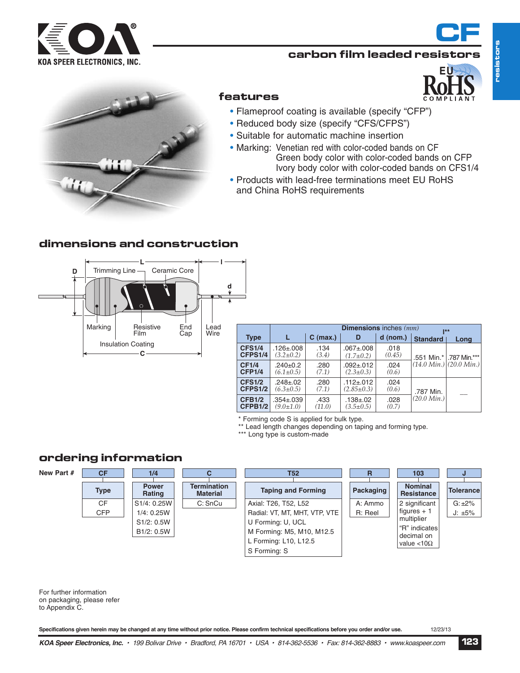

# **carbon film leaded resistors**





### **features**

- Flameproof coating is available (specify "CFP")
- Reduced body size (specify "CFS/CFPS")
- Suitable for automatic machine insertion
- Marking: Venetian red with color-coded bands on CF Green body color with color-coded bands on CFP Ivory body color with color-coded bands on CFS1/4
- Products with lead-free terminations meet EU RoHS and China RoHS requirements

## **dimensions and construction**



|                                       | <b>Dimensions</b> inches $(mm)$<br>$\mathbf{I}$ ** |                |                                     |                |                       |                                   |
|---------------------------------------|----------------------------------------------------|----------------|-------------------------------------|----------------|-----------------------|-----------------------------------|
| <b>Type</b>                           |                                                    | $C$ (max.)     | D                                   | $d$ (nom.)     | <b>Standard</b>       | Long                              |
| <b>CFS1/4</b><br>CFPS1/4              | .126±.008<br>$(3.2 \pm 0.2)$                       | .134<br>(3.4)  | $.067 + .008$<br>$(1.7 \pm 0.2)$    | .018<br>(0.45) |                       | .551 Min.*   .787 Min.***         |
| <b>CF1/4</b><br><b>CFP1/4</b>         | $.240+0.2$<br>$(6.1 \pm 0.5)$                      | .280<br>(7.1)  | $.092 \pm .012$<br>$(2.3 \pm 0.3)$  | .024<br>(0.6)  |                       | $(14.0 \text{ Min.})$ (20.0 Min.) |
| <b>CFS1/2</b><br>CFPS1/2              | $.248 \pm .02$<br>$(6.3 \pm 0.5)$                  | .280<br>(7.1)  | $.112 \pm .012$<br>$(2.85 \pm 0.3)$ | .024<br>(0.6)  | .787 Min.             |                                   |
| <b>CFB1/2</b><br>CFPB <sub>1</sub> /2 | .354±.039<br>$(9.0 \pm 1.0)$                       | .433<br>(11.0) | .138±.02<br>$(3.5 \pm 0.5)$         | .028<br>(0.7)  | $(20.0 \text{ Min.})$ |                                   |

\* Forming code S is applied for bulk type.

\*\* Lead length changes depending on taping and forming type.

\*\*\* Long type is custom-made

# **ordering information**

| New Part # | <b>CF</b>   | 1/4                    |                                       | <b>T52</b>                    | R         | 103                                 |              |
|------------|-------------|------------------------|---------------------------------------|-------------------------------|-----------|-------------------------------------|--------------|
|            | <b>Type</b> | <b>Power</b><br>Rating | <b>Termination</b><br><b>Material</b> | <b>Taping and Forming</b>     | Packaging | <b>Nominal</b><br><b>Resistance</b> | Tolerance    |
|            | <b>CF</b>   | S1/4: 0.25W            | C: SnCu                               | Axial: T26, T52, L52          | A: Ammo   | 2 significant                       | $G: \pm 2\%$ |
|            | <b>CFP</b>  | 1/4: 0.25W             |                                       | Radial: VT, MT, MHT, VTP, VTE | R: Reel   | figures $+1$                        | J: $\pm 5\%$ |
|            |             | S1/2: 0.5W             |                                       | U Forming: U, UCL             |           | multiplier                          |              |
|            |             | B1/2: 0.5W             |                                       | M Forming: M5, M10, M12.5     |           | "R" indicates<br>decimal on         |              |
|            |             |                        |                                       | L Forming: L10, L12.5         |           | value $<$ 10 $\Omega$               |              |
|            |             |                        |                                       | S Forming: S                  |           |                                     |              |

For further information on packaging, please refer to Appendix C.

**Specifications given herein may be changed at any time without prior notice. Please confirm technical specifications before you order and/or use.** 12/23/13

resistors **resistors**